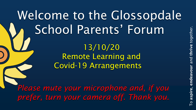## Welcome to the Glossopdale School Parents' Forum 13/10/20 Remote Learning and Covid-19 Arrangements *Please mute your microphone and, if you prefer, turn your camera off. Thank you.*

To aspire, endeavour and thrive together.  $\overline{\overline{\mathsf{e}}}\,$ aspi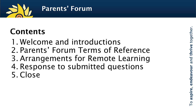

## Contents

- 1. Welcome and introductions
- 2. Parents' Forum Terms of Reference
- 3. Arrangements for Remote Learning
- 4. Response to submitted questions 5. Close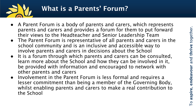

- A Parent Forum is a body of parents and carers, which represents parents and carers and provides a forum for them to put forward their views to the Headteacher and Senior Leadership Team
- The Parent Forum is representative of all parents and carers in the school community and is an inclusive and accessible way to involve parents and carers in decisions about the School
- It is a forum through which parents and carers can be consulted, learn more about the School and how they can be involved in it, be provided with information and encouraged to network with other parents and carers
- Involvement in the Parent Forum is less formal and requires a lesser commitment than being a member of the Governing Body, whilst enabling parents and carers to make a real contribution to the School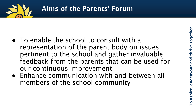

- To enable the school to consult with a representation of the parent body on issues pertinent to the school and gather invaluable feedback from the parents that can be used for our continuous improvement
- Enhance communication with and between all members of the school community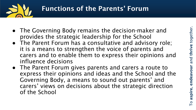

- The Governing Body remains the decision-maker and provides the strategic leadership for the School
- The Parent Forum has a consultative and advisory role; it is a means to strengthen the voice of parents and carers and to enable them to express their opinions and influence decisions
- The Parent Forum gives parents and carers a route to express their opinions and ideas and the School and the Governing Body, a means to sound out parents' and carers' views on decisions about the strategic direction of the School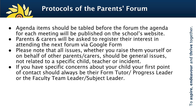

## Protocols of the Parents' Forum

- Agenda items should be tabled before the forum the agenda for each meeting will be published on the school's website.
- Parents & carers will be asked to register their interest in attending the next forum via Google Form
- Please note that all issues, whether you raise them yourself or on behalf of other parents/carers, should be general issues, not related to a specific child, teacher or incident.
- If you have specific concerns about your child your first point of contact should always be their Form Tutor/ Progress Leader or the Faculty Team Leader/Subject Leader.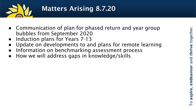

## Matters Arising 8.7.20

- Communication of plan for phased return and year group bubbles from September 2020
- Induction plans for Years 7-13
- Update on developments to and plans for remote learning
- Information on benchmarking assessment process
- How we will address gaps in knowledge/skills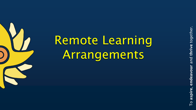# Remote Learning Arrangements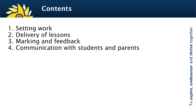

- 1. Setting work
- 2. Delivery of lessons
- 3. Marking and feedback
- 4. Communication with students and parents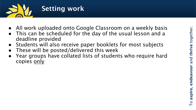

- All work uploaded onto Google Classroom on a weekly basis
- This can be scheduled for the day of the usual lesson and a deadline provided
- Students will also receive paper booklets for most subjects
- These will be posted/delivered this week
- Year groups have collated lists of students who require hard copies only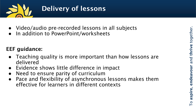

- Video/audio pre-recorded lessons in all subjects
- In addition to PowerPoint/worksheets

### EEF guidance:

- Teaching quality is more important than how lessons are delivered
- Evidence shows little difference in impact
- Need to ensure parity of curriculum
- Pace and flexibility of asynchronous lessons makes them effective for learners in different contexts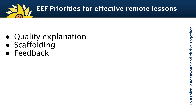

- Quality explanation
- Scaffolding
- Feedback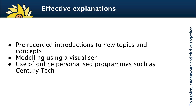

## Effective explanations

- Pre -recorded introductions to new topics and concepts
- Modelling using a visualiser
- Use of online personalised programmes such as Century Tech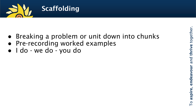

- Breaking a problem or unit down into chunks
- Pre-recording worked examples
- I do we do you do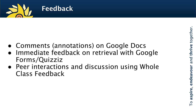

- Comments (annotations) on Google Docs
- Immediate feedback on retrieval with Google Forms/Quizziz
- Peer interactions and discussion using Whole Class Feedback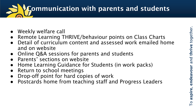# Communication with parents and students

- Weekly welfare call
- Remote Learning THRIVE/behaviour points on Class Charts
- Detail of curriculum content and assessed work emailed home and on website
- Online Q&A sessions for parents and students
- Parents' sections on website
- Home Learning Guidance for Students (in work packs)
- Return to school meetings
- Drop-off point for hard copies of work
- Postcards home from teaching staff and Progress Leaders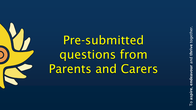Pre -submitted questions from Parents and Carers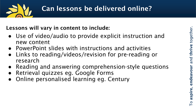

## Can lessons be delivered online?

#### Lessons will vary in content to include:

- Use of video/audio to provide explicit instruction and new content
- PowerPoint slides with instructions and activities
- Links to reading/videos/revision for pre-reading or research
- Reading and answering comprehension-style questions
- Retrieval quizzes eg. Google Forms
- Online personalised learning eg. Century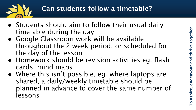

## Can students follow a timetable?

- Students should aim to follow their usual daily timetable during the day
- Google Classroom work will be available throughout the 2 week period, or scheduled for the day of the lesson
- Homework should be revision activities eg. flash cards, mind maps
- Where this isn't possible, eg. where laptops are shared, a daily/weekly timetable should be planned in advance to cover the same number of lessons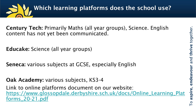

Century Tech: Primarily Maths (all year groups), Science. English content has not yet been communicated.

Educake: Science (all year groups)

Seneca: various subjects at GCSE, especially English

Oak Academy: various subjects, KS3-4

Link to online platforms document on our website: [https://www.glossopdale.derbyshire.sch.uk/docs/Online\\_Learning\\_Plat](https://www.glossopdale.derbyshire.sch.uk/docs/Online_Learning_Platforms_20-21.pdf) forms\_20-21.pdf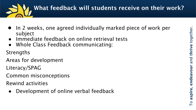

- In 2 weeks, one agreed individually marked piece of work per subject
- Immediate feedback on online retrieval tests
- Whole Class Feedback communicating:

**Strengths** 

Areas for development

Literacy/SPAG

Common misconceptions

Rewind activities

● Development of online verbal feedback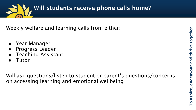

Weekly welfare and learning calls from either:

- Year Manager
- Progress Leader
- **Teaching Assistant**
- **Tutor**

Will ask questions/listen to student or parent's questions/concerns on accessing learning and emotional wellbeing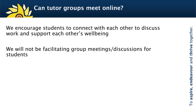

We encourage students to connect with each other to discuss work and support each other's wellbeing

We will not be facilitating group meetings/discussions for students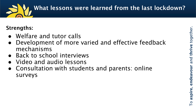

#### Strengths:

- Welfare and tutor calls
- Development of more varied and effective feedback mechanisms
- Back to school interviews
- Video and audio lessons
- Consultation with students and parents: online surveys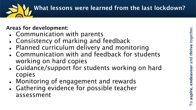

#### Areas for development:

- Communication with parents
- Consistency of marking and feedback
- Planned curriculum delivery and monitoring
- Communication with and feedback for students working on hard copies
- Guidance/support for students working on hard copies
- Monitoring of engagement and rewards
- Gathering evidence for possible teacher assessment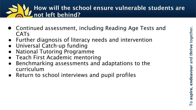## How will the school ensure vulnerable students are not left behind?

- Continued assessment, including Reading Age Tests and CATs
- Further diagnosis of literacy needs and intervention
- Universal Catch-up funding
- **National Tutoring Programme**
- Teach First Academic mentoring
- Benchmarking assessments and adaptations to the curriculum
- Return to school interviews and pupil profiles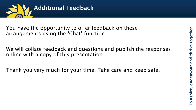

You have the opportunity to offer feedback on these arrangements using the 'Chat' function.

We will collate feedback and questions and publish the responses online with a copy of this presentation.

Thank you very much for your time. Take care and keep safe.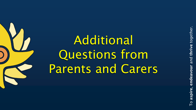together. To aspire, endeavour and thrive and endeavour aspire  $\circ$ 

# Additional Questions from Parents and Carers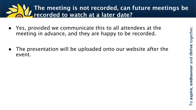## The meeting is not recorded, can future meetings be recorded to watch at a later date?

- Yes, provided we communicate this to all attendees at the meeting in advance, and they are happy to be recorded.
- The presentation will be uploaded onto our website after the event.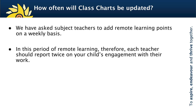



- We have asked subject teachers to add remote learning points on a weekly basis.
- In this period of remote learning, therefore, each teacher should report twice on your child's engagement with their work.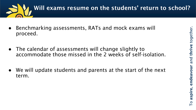

- Benchmarking assessments, RATs and mock exams will proceed.
- The calendar of assessments will change slightly to accommodate those missed in the 2 weeks of self-isolation.
- We will update students and parents at the start of the next term.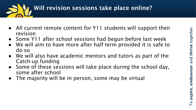

- All current remote content for Y11 students will support their revision
- Some Y11 after school sessions had begun before last week
- We will aim to have more after half term provided it is safe to do so
- We will also have academic mentors and tutors as part of the Catch-up funding
- Some of these sessions will take place during the school day, some after school
- The majority will be in person, some may be virtual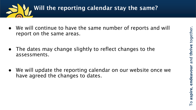



- We will continue to have the same number of reports and will report on the same areas.
- The dates may change slightly to reflect changes to the assessments.
- We will update the reporting calendar on our website once we have agreed the changes to dates.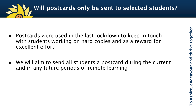

- Postcards were used in the last lockdown to keep in touch with students working on hard copies and as a reward for excellent effort
- We will aim to send all students a postcard during the current and in any future periods of remote learning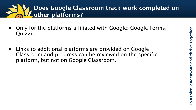## Does Google Classroom track work completed on other platforms?

- Only for the platforms affiliated with Google: Google Forms, Quizziz.
- Links to additional platforms are provided on Google Classroom and progress can be reviewed on the specific platform, but not on Google Classroom.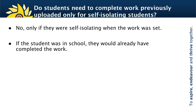## Do students need to complete work previously uploaded only for self-isolating students?

- No, only if they were self-isolating when the work was set.
- If the student was in school, they would already have completed the work.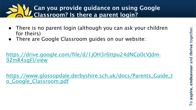## Can you provide guidance on using Google Classroom? Is there a parent login?

- There is no parent login (although you can ask your children for theirs)
- There are Google Classroom guides on our website:

[https://drive.google.com/file/d/1jOH3r6ttpu24dNCo0cVJdm-](https://drive.google.com/file/d/1jOH3r6ttpu24dNCo0cVJdm-9ZmR4sgFI/view)9ZmR4sgFI/view

[https://www.glossopdale.derbyshire.sch.uk/docs/Parents\\_Guide\\_t](https://www.glossopdale.derbyshire.sch.uk/docs/Parents_Guide_to_Google_Classroom.pdf) o\_Google\_Classroom.pdf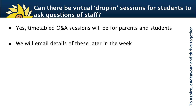## Can there be virtual 'drop-in' sessions for students to ask questions of staff?

- Yes, timetabled Q&A sessions will be for parents and students
- We will email details of these later in the week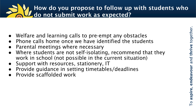## How do you propose to follow up with students who do not submit work as expected?

- Welfare and learning calls to pre-empt any obstacles
- Phone calls home once we have identified the students
- **Parental meetings where necessary**
- Where students are not self-isolating, recommend that they work in school (not possible in the current situation)
- Support with resources, stationery, IT
- Provide quidance in setting timetables/deadlines
- Provide scaffolded work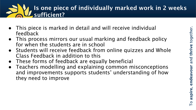## Is one piece of individually marked work in 2 weeks sufficient?

- This piece is marked in detail and will receive individual feedback
- This process mirrors our usual marking and feedback policy for when the students are in school
- Students will receive feedback from online quizzes and Whole Class Feedback in addition to this
- These forms of feedback are equally beneficial
- Teachers modelling and explaining common misconceptions and improvements supports students' understanding of how they need to improve